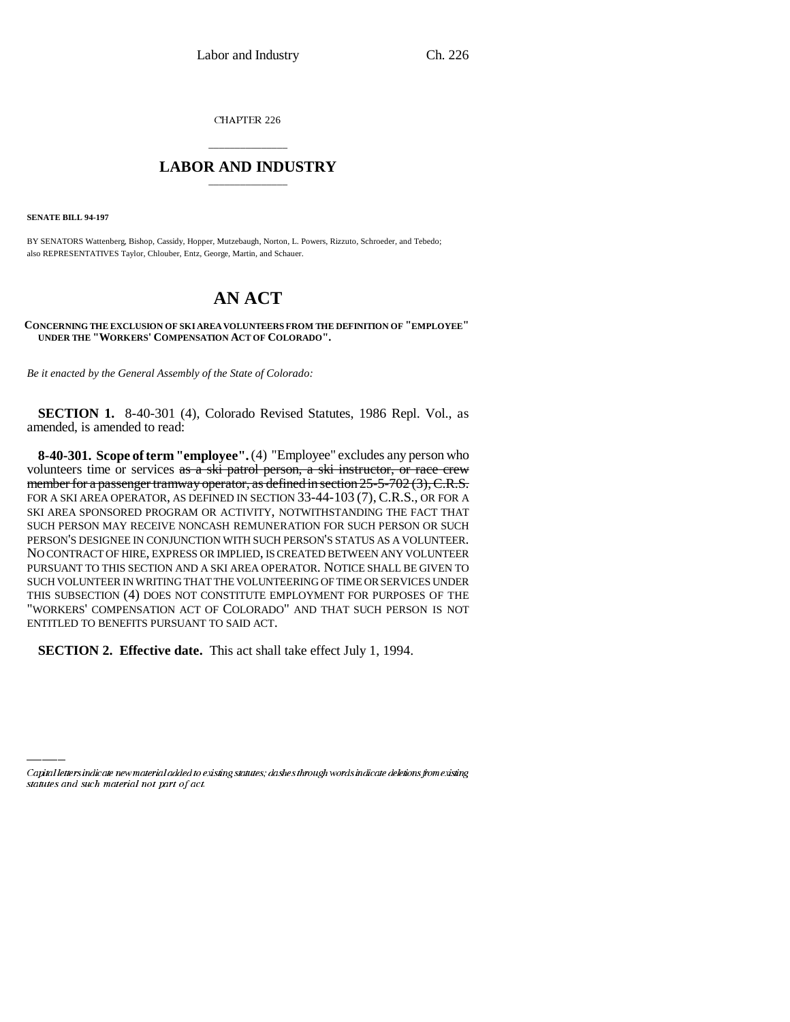CHAPTER 226

## \_\_\_\_\_\_\_\_\_\_\_\_\_\_\_ **LABOR AND INDUSTRY** \_\_\_\_\_\_\_\_\_\_\_\_\_\_\_

**SENATE BILL 94-197**

BY SENATORS Wattenberg, Bishop, Cassidy, Hopper, Mutzebaugh, Norton, L. Powers, Rizzuto, Schroeder, and Tebedo; also REPRESENTATIVES Taylor, Chlouber, Entz, George, Martin, and Schauer.

## **AN ACT**

## **CONCERNING THE EXCLUSION OF SKI AREA VOLUNTEERS FROM THE DEFINITION OF "EMPLOYEE" UNDER THE "WORKERS' COMPENSATION ACT OF COLORADO".**

*Be it enacted by the General Assembly of the State of Colorado:*

**SECTION 1.** 8-40-301 (4), Colorado Revised Statutes, 1986 Repl. Vol., as amended, is amended to read:

**8-40-301. Scope of term "employee".** (4) "Employee" excludes any person who volunteers time or services as a ski patrol person, a ski instructor, or race crew member for a passenger tramway operator, as defined in section 25-5-702 (3), C.R.S. FOR A SKI AREA OPERATOR, AS DEFINED IN SECTION 33-44-103 (7), C.R.S., OR FOR A SKI AREA SPONSORED PROGRAM OR ACTIVITY, NOTWITHSTANDING THE FACT THAT SUCH PERSON MAY RECEIVE NONCASH REMUNERATION FOR SUCH PERSON OR SUCH PERSON'S DESIGNEE IN CONJUNCTION WITH SUCH PERSON'S STATUS AS A VOLUNTEER. NO CONTRACT OF HIRE, EXPRESS OR IMPLIED, IS CREATED BETWEEN ANY VOLUNTEER PURSUANT TO THIS SECTION AND A SKI AREA OPERATOR. NOTICE SHALL BE GIVEN TO SUCH VOLUNTEER IN WRITING THAT THE VOLUNTEERING OF TIME OR SERVICES UNDER THIS SUBSECTION (4) DOES NOT CONSTITUTE EMPLOYMENT FOR PURPOSES OF THE "WORKERS' COMPENSATION ACT OF COLORADO" AND THAT SUCH PERSON IS NOT ENTITLED TO BENEFITS PURSUANT TO SAID ACT.

**SECTION 2. Effective date.** This act shall take effect July 1, 1994.

Capital letters indicate new material added to existing statutes; dashes through words indicate deletions from existing statutes and such material not part of act.